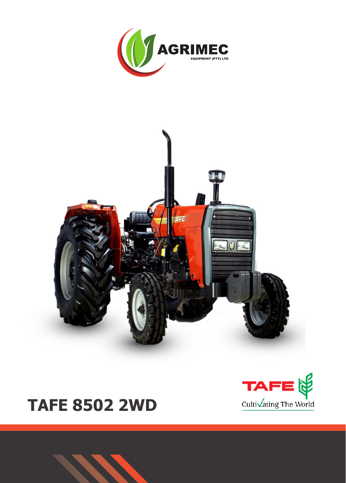



# **TAFE 8502 2WD**